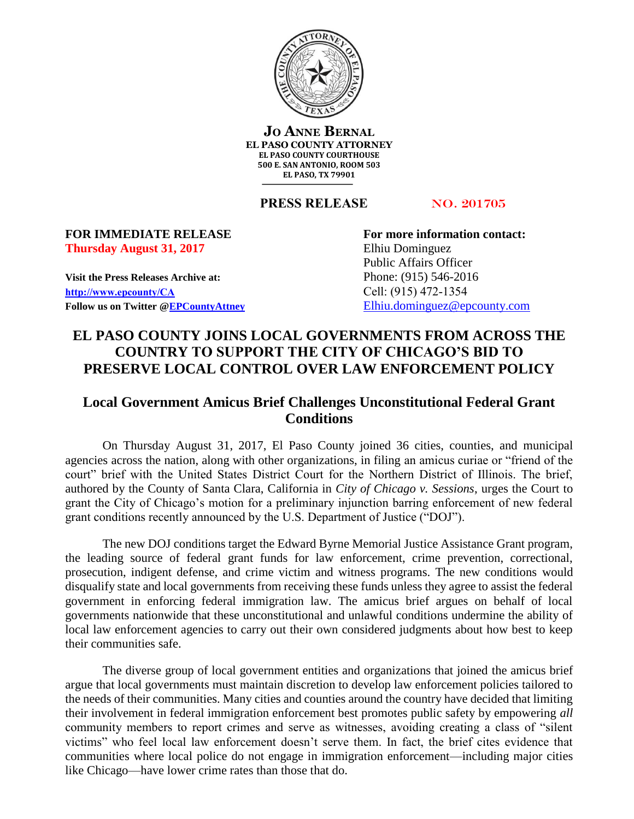

**JO ANNE BERNAL EL PASO COUNTY ATTORNEY EL PASO COUNTY COURTHOUSE 500 E. SAN ANTONIO, ROOM 503 EL PASO, TX 79901**

**PRESS RELEASE** NO. 201705

## **Thursday August 31, 2017** Elhiu Dominguez

**Visit the Press Releases Archive at:** Phone: (915) 546-2016 **[http://www.epcounty/CA](http://www.epcounty/CA/releases.htm)** Cell: (915) 472-1354 Follow us on Twitter  $\mathcal{Q}$  EPCountyAttney Elhiu.dominguez  $\mathcal{Q}$  epcounty.com

**FOR IMMEDIATE RELEASE For more information contact:** Public Affairs Officer

## **EL PASO COUNTY JOINS LOCAL GOVERNMENTS FROM ACROSS THE COUNTRY TO SUPPORT THE CITY OF CHICAGO'S BID TO PRESERVE LOCAL CONTROL OVER LAW ENFORCEMENT POLICY**

## **Local Government Amicus Brief Challenges Unconstitutional Federal Grant Conditions**

On Thursday August 31, 2017, El Paso County joined 36 cities, counties, and municipal agencies across the nation, along with other organizations, in filing an amicus curiae or "friend of the court" brief with the United States District Court for the Northern District of Illinois. The brief, authored by the County of Santa Clara, California in *City of Chicago v. Sessions*, urges the Court to grant the City of Chicago's motion for a preliminary injunction barring enforcement of new federal grant conditions recently announced by the U.S. Department of Justice ("DOJ").

The new DOJ conditions target the Edward Byrne Memorial Justice Assistance Grant program, the leading source of federal grant funds for law enforcement, crime prevention, correctional, prosecution, indigent defense, and crime victim and witness programs. The new conditions would disqualify state and local governments from receiving these funds unless they agree to assist the federal government in enforcing federal immigration law. The amicus brief argues on behalf of local governments nationwide that these unconstitutional and unlawful conditions undermine the ability of local law enforcement agencies to carry out their own considered judgments about how best to keep their communities safe.

The diverse group of local government entities and organizations that joined the amicus brief argue that local governments must maintain discretion to develop law enforcement policies tailored to the needs of their communities. Many cities and counties around the country have decided that limiting their involvement in federal immigration enforcement best promotes public safety by empowering *all*  community members to report crimes and serve as witnesses, avoiding creating a class of "silent victims" who feel local law enforcement doesn't serve them. In fact, the brief cites evidence that communities where local police do not engage in immigration enforcement—including major cities like Chicago—have lower crime rates than those that do.